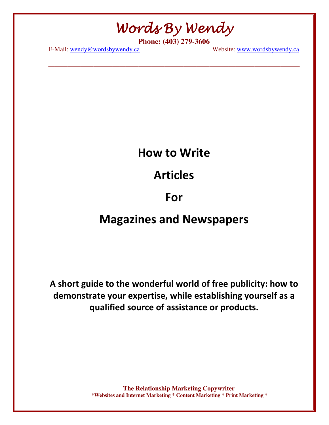Words By Wendy

**\_\_\_\_\_\_\_\_\_\_\_\_\_\_\_\_\_\_\_\_\_\_\_\_\_\_\_\_\_\_\_\_\_\_\_\_\_\_\_** 

**Phone: (403) 279-3606** 

E-Mail: wendy@wordsbywendy.ca Website: www.wordsbywendy.ca

### How to Write

### Articles

### For

### Magazines and Newspapers

A short guide to the wonderful world of free publicity: how to demonstrate your expertise, while establishing yourself as a qualified source of assistance or products.

> **The Relationship Marketing Copywriter \*Websites and Internet Marketing \* Content Marketing \* Print Marketing \***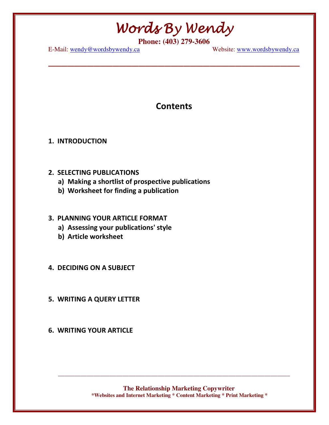**\_\_\_\_\_\_\_\_\_\_\_\_\_\_\_\_\_\_\_\_\_\_\_\_\_\_\_\_\_\_\_\_\_\_\_\_\_\_\_** 

**Phone: (403) 279-3606** 

E-Mail: wendy@wordsbywendy.ca Website: www.wordsbywendy.ca

### **Contents**

#### 1. INTRODUCTION

- 2. SELECTING PUBLICATIONS
	- a) Making a shortlist of prospective publications
	- b) Worksheet for finding a publication

### 3. PLANNING YOUR ARTICLE FORMAT

- a) Assessing your publications' style
- b) Article worksheet
- 4. DECIDING ON A SUBJECT
- 5. WRITING A QUERY LETTER
- 6. WRITING YOUR ARTICLE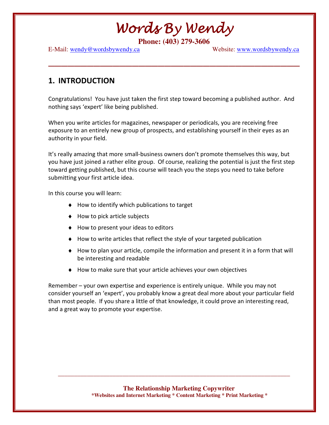**\_\_\_\_\_\_\_\_\_\_\_\_\_\_\_\_\_\_\_\_\_\_\_\_\_\_\_\_\_\_\_\_\_\_\_\_\_\_\_** 

**Phone: (403) 279-3606** 

E-Mail: wendy@wordsbywendy.ca Website: www.wordsbywendy.ca

### 1. INTRODUCTION

Congratulations! You have just taken the first step toward becoming a published author. And nothing says 'expert' like being published.

When you write articles for magazines, newspaper or periodicals, you are receiving free exposure to an entirely new group of prospects, and establishing yourself in their eyes as an authority in your field.

It's really amazing that more small-business owners don't promote themselves this way, but you have just joined a rather elite group. Of course, realizing the potential is just the first step toward getting published, but this course will teach you the steps you need to take before submitting your first article idea.

In this course you will learn:

- ♦ How to identify which publications to target
- ♦ How to pick article subjects
- ♦ How to present your ideas to editors
- ♦ How to write articles that reflect the style of your targeted publication
- ♦ How to plan your article, compile the information and present it in a form that will be interesting and readable
- ♦ How to make sure that your article achieves your own objectives

Remember – your own expertise and experience is entirely unique. While you may not consider yourself an 'expert', you probably know a great deal more about your particular field than most people. If you share a little of that knowledge, it could prove an interesting read, and a great way to promote your expertise.

> **The Relationship Marketing Copywriter \*Websites and Internet Marketing \* Content Marketing \* Print Marketing \***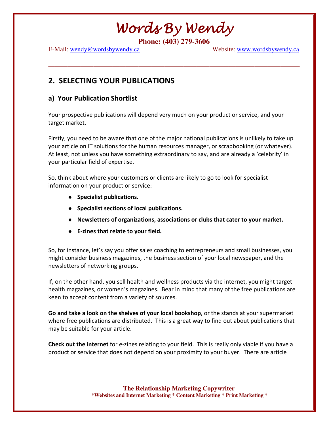**\_\_\_\_\_\_\_\_\_\_\_\_\_\_\_\_\_\_\_\_\_\_\_\_\_\_\_\_\_\_\_\_\_\_\_\_\_\_\_** 

**Phone: (403) 279-3606** 

E-Mail: wendy@wordsbywendy.ca Website: www.wordsbywendy.ca

### 2. SELECTING YOUR PUBLICATIONS

### a) Your Publication Shortlist

Your prospective publications will depend very much on your product or service, and your target market.

Firstly, you need to be aware that one of the major national publications is unlikely to take up your article on IT solutions for the human resources manager, or scrapbooking (or whatever). At least, not unless you have something extraordinary to say, and are already a 'celebrity' in your particular field of expertise.

So, think about where your customers or clients are likely to go to look for specialist information on your product or service:

- ♦ Specialist publications.
- ♦ Specialist sections of local publications.
- ♦ Newsletters of organizations, associations or clubs that cater to your market.
- ♦ E-zines that relate to your field.

So, for instance, let's say you offer sales coaching to entrepreneurs and small businesses, you might consider business magazines, the business section of your local newspaper, and the newsletters of networking groups.

If, on the other hand, you sell health and wellness products via the internet, you might target health magazines, or women's magazines. Bear in mind that many of the free publications are keen to accept content from a variety of sources.

Go and take a look on the shelves of your local bookshop, or the stands at your supermarket where free publications are distributed. This is a great way to find out about publications that may be suitable for your article.

Check out the internet for e-zines relating to your field. This is really only viable if you have a product or service that does not depend on your proximity to your buyer. There are article

\_\_\_\_\_\_\_\_\_\_\_\_\_\_\_\_\_\_\_\_\_\_\_\_\_\_\_\_\_\_\_\_\_\_\_\_\_\_\_\_\_\_\_\_\_\_\_\_\_\_\_\_\_\_\_\_\_\_\_\_\_\_\_\_\_\_\_\_\_\_\_\_

**The Relationship Marketing Copywriter \*Websites and Internet Marketing \* Content Marketing \* Print Marketing \***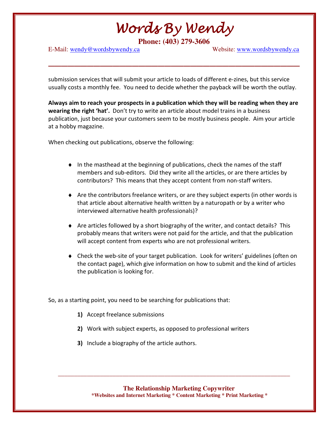**Phone: (403) 279-3606** 

**\_\_\_\_\_\_\_\_\_\_\_\_\_\_\_\_\_\_\_\_\_\_\_\_\_\_\_\_\_\_\_\_\_\_\_\_\_\_\_** 

E-Mail: wendy@wordsbywendy.ca Website: www.wordsbywendy.ca

submission services that will submit your article to loads of different e-zines, but this service usually costs a monthly fee. You need to decide whether the payback will be worth the outlay.

Always aim to reach your prospects in a publication which they will be reading when they are wearing the right 'hat'. Don't try to write an article about model trains in a business publication, just because your customers seem to be mostly business people. Aim your article at a hobby magazine.

When checking out publications, observe the following:

- ♦ In the masthead at the beginning of publications, check the names of the staff members and sub-editors. Did they write all the articles, or are there articles by contributors? This means that they accept content from non-staff writers.
- ♦ Are the contributors freelance writers, or are they subject experts (in other words is that article about alternative health written by a naturopath or by a writer who interviewed alternative health professionals)?
- ♦ Are articles followed by a short biography of the writer, and contact details? This probably means that writers were not paid for the article, and that the publication will accept content from experts who are not professional writers.
- ♦ Check the web-site of your target publication. Look for writers' guidelines (often on the contact page), which give information on how to submit and the kind of articles the publication is looking for.

So, as a starting point, you need to be searching for publications that:

- 1) Accept freelance submissions
- 2) Work with subject experts, as opposed to professional writers
- 3) Include a biography of the article authors.

**The Relationship Marketing Copywriter \*Websites and Internet Marketing \* Content Marketing \* Print Marketing \***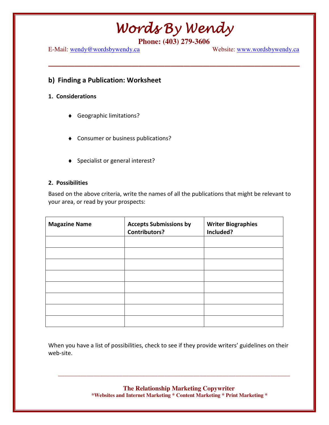**\_\_\_\_\_\_\_\_\_\_\_\_\_\_\_\_\_\_\_\_\_\_\_\_\_\_\_\_\_\_\_\_\_\_\_\_\_\_\_** 

**Phone: (403) 279-3606** 

E-Mail: wendy@wordsbywendy.ca Website: www.wordsbywendy.ca

#### b) Finding a Publication: Worksheet

#### 1. Considerations

- ♦ Geographic limitations?
- ♦ Consumer or business publications?
- ♦ Specialist or general interest?

#### 2. Possibilities

Based on the above criteria, write the names of all the publications that might be relevant to your area, or read by your prospects:

| <b>Magazine Name</b> | <b>Accepts Submissions by</b><br><b>Contributors?</b> | <b>Writer Biographies</b><br>Included? |
|----------------------|-------------------------------------------------------|----------------------------------------|
|                      |                                                       |                                        |
|                      |                                                       |                                        |
|                      |                                                       |                                        |
|                      |                                                       |                                        |
|                      |                                                       |                                        |
|                      |                                                       |                                        |
|                      |                                                       |                                        |
|                      |                                                       |                                        |

When you have a list of possibilities, check to see if they provide writers' guidelines on their web-site.

> **The Relationship Marketing Copywriter \*Websites and Internet Marketing \* Content Marketing \* Print Marketing \***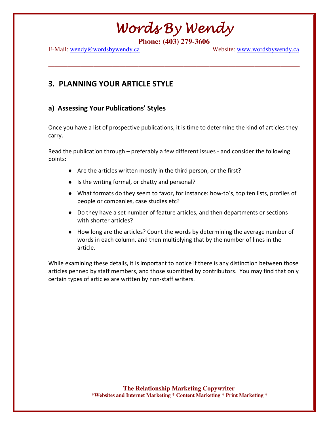**\_\_\_\_\_\_\_\_\_\_\_\_\_\_\_\_\_\_\_\_\_\_\_\_\_\_\_\_\_\_\_\_\_\_\_\_\_\_\_** 

**Phone: (403) 279-3606** 

E-Mail: wendy@wordsbywendy.ca Website: www.wordsbywendy.ca

### 3. PLANNING YOUR ARTICLE STYLE

### a) Assessing Your Publications' Styles

Once you have a list of prospective publications, it is time to determine the kind of articles they carry.

Read the publication through – preferably a few different issues - and consider the following points:

- ♦ Are the articles written mostly in the third person, or the first?
- ♦ Is the writing formal, or chatty and personal?
- ♦ What formats do they seem to favor, for instance: how-to's, top ten lists, profiles of people or companies, case studies etc?
- ♦ Do they have a set number of feature articles, and then departments or sections with shorter articles?
- ♦ How long are the articles? Count the words by determining the average number of words in each column, and then multiplying that by the number of lines in the article.

While examining these details, it is important to notice if there is any distinction between those articles penned by staff members, and those submitted by contributors. You may find that only certain types of articles are written by non-staff writers.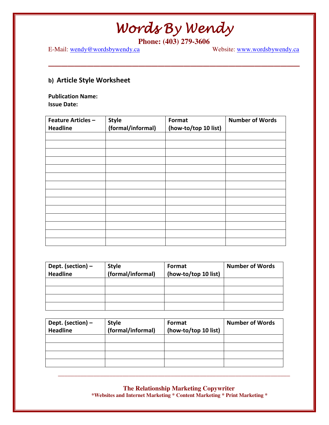**\_\_\_\_\_\_\_\_\_\_\_\_\_\_\_\_\_\_\_\_\_\_\_\_\_\_\_\_\_\_\_\_\_\_\_\_\_\_\_** 

E-Mail: wendy@wordsbywendy.ca

**Phone: (403) 279-3606**<br>Website: <u>www.wordsbywendy.ca</u>

### b) Article Style Worksheet

Publication Name: Issue Date:

| <b>Feature Articles -</b> | <b>Style</b>      | Format               | <b>Number of Words</b> |
|---------------------------|-------------------|----------------------|------------------------|
| <b>Headline</b>           | (formal/informal) | (how-to/top 10 list) |                        |
|                           |                   |                      |                        |
|                           |                   |                      |                        |
|                           |                   |                      |                        |
|                           |                   |                      |                        |
|                           |                   |                      |                        |
|                           |                   |                      |                        |
|                           |                   |                      |                        |
|                           |                   |                      |                        |
|                           |                   |                      |                        |
|                           |                   |                      |                        |
|                           |                   |                      |                        |
|                           |                   |                      |                        |
|                           |                   |                      |                        |
|                           |                   |                      |                        |

| Dept. (section) –<br><b>Headline</b> | <b>Style</b><br>(formal/informal) | Format<br>(how-to/top 10 list) | <b>Number of Words</b> |
|--------------------------------------|-----------------------------------|--------------------------------|------------------------|
|                                      |                                   |                                |                        |
|                                      |                                   |                                |                        |
|                                      |                                   |                                |                        |
|                                      |                                   |                                |                        |

| Dept. (section) –<br><b>Headline</b> | <b>Style</b><br>(formal/informal) | Format<br>(how-to/top 10 list) | <b>Number of Words</b> |
|--------------------------------------|-----------------------------------|--------------------------------|------------------------|
|                                      |                                   |                                |                        |
|                                      |                                   |                                |                        |
|                                      |                                   |                                |                        |
|                                      |                                   |                                |                        |

**The Relationship Marketing Copywriter \*Websites and Internet Marketing \* Content Marketing \* Print Marketing \***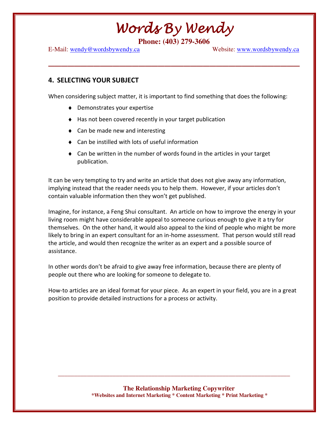**\_\_\_\_\_\_\_\_\_\_\_\_\_\_\_\_\_\_\_\_\_\_\_\_\_\_\_\_\_\_\_\_\_\_\_\_\_\_\_** 

**Phone: (403) 279-3606** 

E-Mail: wendy@wordsbywendy.ca Website: www.wordsbywendy.ca

#### 4. SELECTING YOUR SUBJECT

When considering subject matter, it is important to find something that does the following:

- ♦ Demonstrates your expertise
- ♦ Has not been covered recently in your target publication
- ♦ Can be made new and interesting
- ♦ Can be instilled with lots of useful information
- $\triangle$  Can be written in the number of words found in the articles in your target publication.

It can be very tempting to try and write an article that does not give away any information, implying instead that the reader needs you to help them. However, if your articles don't contain valuable information then they won't get published.

Imagine, for instance, a Feng Shui consultant. An article on how to improve the energy in your living room might have considerable appeal to someone curious enough to give it a try for themselves. On the other hand, it would also appeal to the kind of people who might be more likely to bring in an expert consultant for an in-home assessment. That person would still read the article, and would then recognize the writer as an expert and a possible source of assistance.

In other words don't be afraid to give away free information, because there are plenty of people out there who are looking for someone to delegate to.

How-to articles are an ideal format for your piece. As an expert in your field, you are in a great position to provide detailed instructions for a process or activity.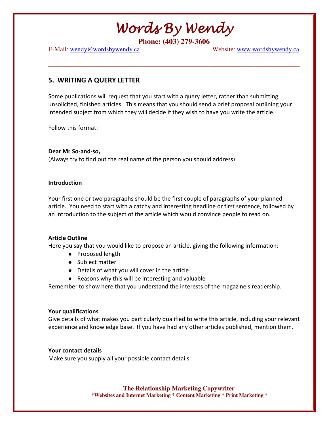**\_\_\_\_\_\_\_\_\_\_\_\_\_\_\_\_\_\_\_\_\_\_\_\_\_\_\_\_\_\_\_\_\_\_\_\_\_\_\_** 

**Phone: (403) 279-3606** 

E-Mail: wendy@wordsbywendy.ca Website: www.wordsbywendy.ca

#### 5. WRITING A QUERY LETTER

Some publications will request that you start with a query letter, rather than submitting unsolicited, finished articles. This means that you should send a brief proposal outlining your intended subject from which they will decide if they wish to have you write the article.

Follow this format:

Dear Mr So-and-so, (Always try to find out the real name of the person you should address)

#### **Introduction**

Your first one or two paragraphs should be the first couple of paragraphs of your planned article. You need to start with a catchy and interesting headline or first sentence, followed by an introduction to the subject of the article which would convince people to read on.

#### Article Outline

Here you say that you would like to propose an article, giving the following information:

- ♦ Proposed length
- ♦ Subject matter
- ♦ Details of what you will cover in the article
- ♦ Reasons why this will be interesting and valuable

Remember to show here that you understand the interests of the magazine's readership.

#### Your qualifications

Give details of what makes you particularly qualified to write this article, including your relevant experience and knowledge base. If you have had any other articles published, mention them.

#### Your contact details

Make sure you supply all your possible contact details.

**The Relationship Marketing Copywriter** 

\_\_\_\_\_\_\_\_\_\_\_\_\_\_\_\_\_\_\_\_\_\_\_\_\_\_\_\_\_\_\_\_\_\_\_\_\_\_\_\_\_\_\_\_\_\_\_\_\_\_\_\_\_\_\_\_\_\_\_\_\_\_\_\_\_\_\_\_\_\_\_\_

 **\*Websites and Internet Marketing \* Content Marketing \* Print Marketing \***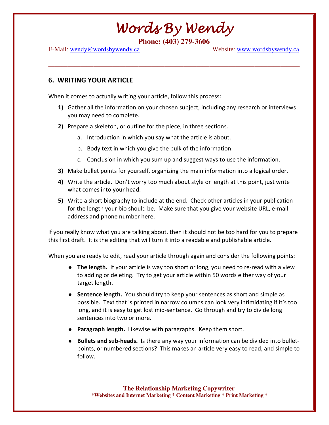**\_\_\_\_\_\_\_\_\_\_\_\_\_\_\_\_\_\_\_\_\_\_\_\_\_\_\_\_\_\_\_\_\_\_\_\_\_\_\_** 

**Phone: (403) 279-3606** 

E-Mail: wendy@wordsbywendy.ca Website: www.wordsbywendy.ca

#### 6. WRITING YOUR ARTICLE

When it comes to actually writing your article, follow this process:

- 1) Gather all the information on your chosen subject, including any research or interviews you may need to complete.
- 2) Prepare a skeleton, or outline for the piece, in three sections.
	- a. Introduction in which you say what the article is about.
	- b. Body text in which you give the bulk of the information.
	- c. Conclusion in which you sum up and suggest ways to use the information.
- 3) Make bullet points for yourself, organizing the main information into a logical order.
- 4) Write the article. Don't worry too much about style or length at this point, just write what comes into your head.
- 5) Write a short biography to include at the end. Check other articles in your publication for the length your bio should be. Make sure that you give your website URL, e-mail address and phone number here.

If you really know what you are talking about, then it should not be too hard for you to prepare this first draft. It is the editing that will turn it into a readable and publishable article.

When you are ready to edit, read your article through again and consider the following points:

- $\bullet$  The length. If your article is way too short or long, you need to re-read with a view to adding or deleting. Try to get your article within 50 words either way of your target length.
- ♦ Sentence length. You should try to keep your sentences as short and simple as possible. Text that is printed in narrow columns can look very intimidating if it's too long, and it is easy to get lost mid-sentence. Go through and try to divide long sentences into two or more.
- **Paragraph length.** Likewise with paragraphs. Keep them short.
- ♦ Bullets and sub-heads. Is there any way your information can be divided into bulletpoints, or numbered sections? This makes an article very easy to read, and simple to follow.

**The Relationship Marketing Copywriter \*Websites and Internet Marketing \* Content Marketing \* Print Marketing \***